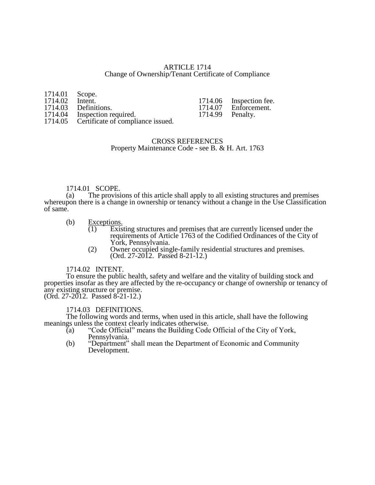# ARTICLE 1714 Change of Ownership/Tenant Certificate of Compliance

| 1714.01 Scope. |                                           |                  |                         |
|----------------|-------------------------------------------|------------------|-------------------------|
| 1714.02        | Intent.                                   |                  | 1714.06 Inspection fee. |
|                | 1714.03 Definitions.                      |                  | 1714.07 Enforcement.    |
|                | 1714.04 Inspection required.              | 1714.99 Penalty. |                         |
|                | 1714.05 Certificate of compliance issued. |                  |                         |

# CROSS REFERENCES Property Maintenance Code - see B. & H. Art. 1763

# 1714.01 SCOPE.<br>(a) The provisi

The provisions of this article shall apply to all existing structures and premises whereupon there is a change in ownership or tenancy without a change in the Use Classification of same.

- (b)  $\frac{\text{Exceptions.}}{(1) \text{Exiss}}$ 
	- (1) Existing structures and premises that are currently licensed under the requirements of Article 1763 of the Codified Ordinances of the City of York, Pennsylvania.
	- (2) Owner occupied single-family residential structures and premises. (Ord. 27-2012. Passed 8-21-12.)

### 1714.02 INTENT.

To ensure the public health, safety and welfare and the vitality of building stock and properties insofar as they are affected by the re-occupancy or change of ownership or tenancy of any existing structure or premise.  $($ Ord. 27-2012. Passed 8-21-12.)

1714.03 DEFINITIONS.

The following words and terms, when used in this article, shall have the following meanings unless the context clearly indicates otherwise.

- (a) "Code Official" means the Building Code Official of the City of York, Pennsylvania.
- (b) "Department" shall mean the Department of Economic and Community Development.